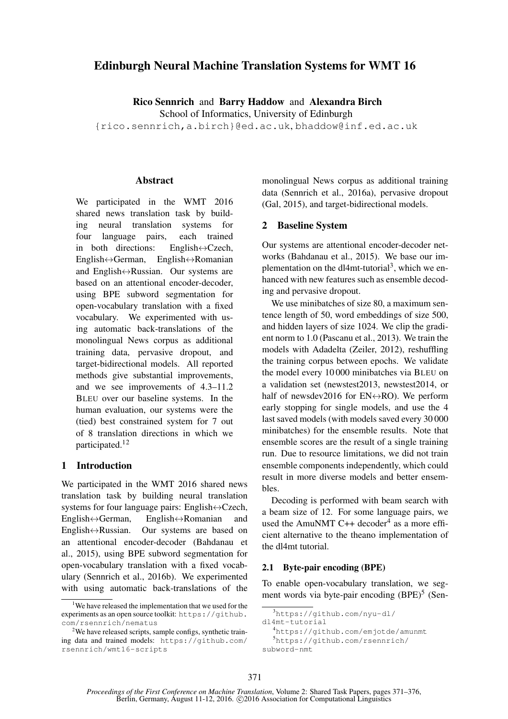# Edinburgh Neural Machine Translation Systems for WMT 16

Rico Sennrich and Barry Haddow and Alexandra Birch

School of Informatics, University of Edinburgh

{rico.sennrich,a.birch}@ed.ac.uk, bhaddow@inf.ed.ac.uk

#### **Abstract**

We participated in the WMT 2016 shared news translation task by building neural translation systems for four language pairs, each trained in both directions: English↔Czech, English↔German, English↔Romanian and English↔Russian. Our systems are based on an attentional encoder-decoder, using BPE subword segmentation for open-vocabulary translation with a fixed vocabulary. We experimented with using automatic back-translations of the monolingual News corpus as additional training data, pervasive dropout, and target-bidirectional models. All reported methods give substantial improvements, and we see improvements of 4.3–11.2 BLEU over our baseline systems. In the human evaluation, our systems were the (tied) best constrained system for 7 out of 8 translation directions in which we participated.<sup>12</sup>

## 1 Introduction

We participated in the WMT 2016 shared news translation task by building neural translation systems for four language pairs: English $\leftrightarrow$ Czech,<br>English $\leftrightarrow$ German, English $\leftrightarrow$ Romanian and English $\leftrightarrow$ German, English $\leftrightarrow$ Romanian<br>English $\leftrightarrow$ Russian. Our systems are bas Our systems are based on an attentional encoder-decoder (Bahdanau et al., 2015), using BPE subword segmentation for open-vocabulary translation with a fixed vocabulary (Sennrich et al., 2016b). We experimented with using automatic back-translations of the

monolingual News corpus as additional training data (Sennrich et al., 2016a), pervasive dropout (Gal, 2015), and target-bidirectional models.

## 2 Baseline System

Our systems are attentional encoder-decoder networks (Bahdanau et al., 2015). We base our implementation on the dl4mt-tutorial<sup>3</sup>, which we enhanced with new features such as ensemble decoding and pervasive dropout.

We use minibatches of size 80, a maximum sentence length of 50, word embeddings of size 500, and hidden layers of size 1024. We clip the gradient norm to 1.0 (Pascanu et al., 2013). We train the models with Adadelta (Zeiler, 2012), reshuffling the training corpus between epochs. We validate the model every 10 000 minibatches via BLEU on a validation set (newstest2013, newstest2014, or half of newsdev2016 for  $EN \leftrightarrow RO$ ). We perform early stopping for single models, and use the 4 last saved models (with models saved every 30 000 minibatches) for the ensemble results. Note that ensemble scores are the result of a single training run. Due to resource limitations, we did not train ensemble components independently, which could result in more diverse models and better ensembles.

Decoding is performed with beam search with a beam size of 12. For some language pairs, we used the AmuNMT C++ decoder<sup>4</sup> as a more efficient alternative to the theano implementation of the dl4mt tutorial.

#### 2.1 Byte-pair encoding (BPE)

To enable open-vocabulary translation, we segment words via byte-pair encoding  $(BPE)^5$  (Sen-

<sup>&</sup>lt;sup>1</sup>We have released the implementation that we used for the experiments as an open source toolkit: https://github. com/rsennrich/nematus

<sup>&</sup>lt;sup>2</sup>We have released scripts, sample configs, synthetic training data and trained models: https://github.com/ rsennrich/wmt16-scripts

<sup>3</sup>https://github.com/nyu-dl/

dl4mt-tutorial

<sup>4</sup>https://github.com/emjotde/amunmt <sup>5</sup>https://github.com/rsennrich/ subword-nmt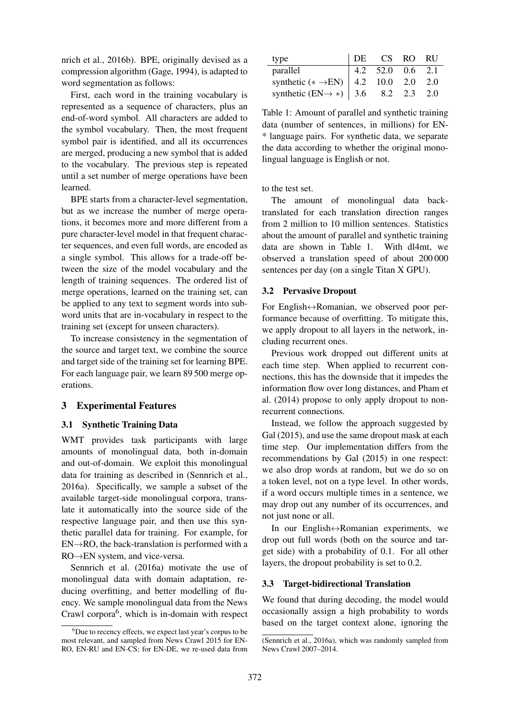nrich et al., 2016b). BPE, originally devised as a compression algorithm (Gage, 1994), is adapted to word segmentation as follows:

First, each word in the training vocabulary is represented as a sequence of characters, plus an end-of-word symbol. All characters are added to the symbol vocabulary. Then, the most frequent symbol pair is identified, and all its occurrences are merged, producing a new symbol that is added to the vocabulary. The previous step is repeated until a set number of merge operations have been learned.

BPE starts from a character-level segmentation, but as we increase the number of merge operations, it becomes more and more different from a pure character-level model in that frequent character sequences, and even full words, are encoded as a single symbol. This allows for a trade-off between the size of the model vocabulary and the length of training sequences. The ordered list of merge operations, learned on the training set, can be applied to any text to segment words into subword units that are in-vocabulary in respect to the training set (except for unseen characters).

To increase consistency in the segmentation of the source and target text, we combine the source and target side of the training set for learning BPE. For each language pair, we learn 89 500 merge operations.

# 3 Experimental Features

## 3.1 Synthetic Training Data

WMT provides task participants with large amounts of monolingual data, both in-domain and out-of-domain. We exploit this monolingual data for training as described in (Sennrich et al., 2016a). Specifically, we sample a subset of the available target-side monolingual corpora, translate it automatically into the source side of the respective language pair, and then use this synthetic parallel data for training. For example, for  $EN\rightarrow RO$ , the back-translation is performed with a RO→EN system, and vice-versa.

Sennrich et al. (2016a) motivate the use of monolingual data with domain adaptation, reducing overfitting, and better modelling of fluency. We sample monolingual data from the News Crawl corpora<sup>6</sup>, which is in-domain with respect

| type                                                                                                                                                                                                                                                                     | DE | CS RO RU |  |
|--------------------------------------------------------------------------------------------------------------------------------------------------------------------------------------------------------------------------------------------------------------------------|----|----------|--|
|                                                                                                                                                                                                                                                                          |    |          |  |
|                                                                                                                                                                                                                                                                          |    |          |  |
| parallel<br>synthetic (* -> EN) $\begin{array}{ l l } \hline 4.2 & 52.0 & 0.6 & 2.1 \\ \hline \text{synthetic} & (\text{EN} \rightarrow \ast) & 4.2 & 10.0 & 2.0 & 2.0 \\ \text{synthetic} & (\text{EN} \rightarrow \ast) & 3.6 & 8.2 & 2.3 & 2.0 \\ \hline \end{array}$ |    |          |  |

Table 1: Amount of parallel and synthetic training data (number of sentences, in millions) for EN- \* language pairs. For synthetic data, we separate the data according to whether the original monolingual language is English or not.

to the test set.

The amount of monolingual data backtranslated for each translation direction ranges from 2 million to 10 million sentences. Statistics about the amount of parallel and synthetic training data are shown in Table 1. With dl4mt, we observed a translation speed of about 200 000 sentences per day (on a single Titan X GPU).

## 3.2 Pervasive Dropout

For English↔Romanian, we observed poor performance because of overfitting. To mitigate this, we apply dropout to all layers in the network, including recurrent ones.

Previous work dropped out different units at each time step. When applied to recurrent connections, this has the downside that it impedes the information flow over long distances, and Pham et al. (2014) propose to only apply dropout to nonrecurrent connections.

Instead, we follow the approach suggested by Gal (2015), and use the same dropout mask at each time step. Our implementation differs from the recommendations by Gal (2015) in one respect: we also drop words at random, but we do so on a token level, not on a type level. In other words, if a word occurs multiple times in a sentence, we may drop out any number of its occurrences, and not just none or all.

In our English↔Romanian experiments, we drop out full words (both on the source and target side) with a probability of 0.1. For all other layers, the dropout probability is set to 0.2.

### 3.3 Target-bidirectional Translation

We found that during decoding, the model would occasionally assign a high probability to words based on the target context alone, ignoring the

 ${}^{6}$ Due to recency effects, we expect last year's corpus to be most relevant, and sampled from News Crawl 2015 for EN-RO, EN-RU and EN-CS; for EN-DE, we re-used data from

<sup>(</sup>Sennrich et al., 2016a), which was randomly sampled from News Crawl 2007–2014.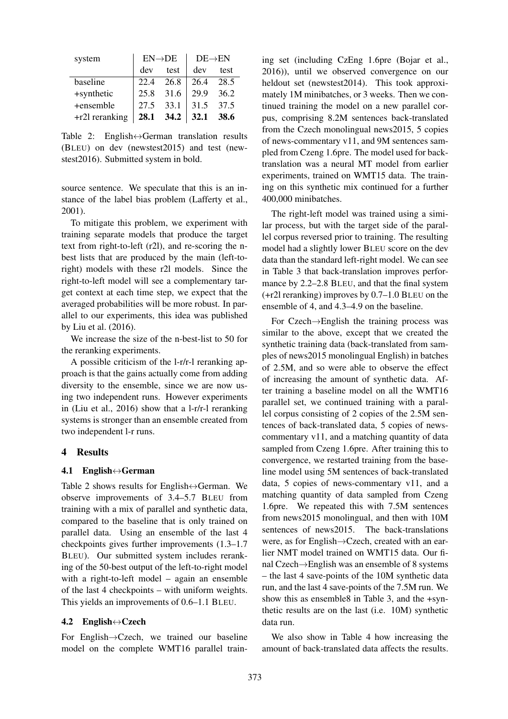| system         | $EN\rightarrow DE$ |           | $DE\rightarrow EN$ |      |
|----------------|--------------------|-----------|--------------------|------|
|                | dev                | test      | dev                | test |
| baseline       |                    | 22.4 26.8 | 26.4               | 28.5 |
| +synthetic     |                    | 25.8 31.6 | 29.9               | 36.2 |
| +ensemble      |                    | 27.5 33.1 | 31.5               | 37.5 |
| +r2l reranking |                    | 28.1 34.2 | 32.1 38.6          |      |

Table 2: English $\leftrightarrow$ German translation results (BLEU) on dev (newstest2015) and test (newstest2016). Submitted system in bold.

source sentence. We speculate that this is an instance of the label bias problem (Lafferty et al., 2001).

To mitigate this problem, we experiment with training separate models that produce the target text from right-to-left (r2l), and re-scoring the nbest lists that are produced by the main (left-toright) models with these r2l models. Since the right-to-left model will see a complementary target context at each time step, we expect that the averaged probabilities will be more robust. In parallel to our experiments, this idea was published by Liu et al. (2016).

We increase the size of the n-best-list to 50 for the reranking experiments.

A possible criticism of the l-r/r-l reranking approach is that the gains actually come from adding diversity to the ensemble, since we are now using two independent runs. However experiments in (Liu et al., 2016) show that a l-r/r-l reranking systems is stronger than an ensemble created from two independent l-r runs.

#### 4 Results

### 4.1 English↔German

Table 2 shows results for English $\leftrightarrow$ German. We observe improvements of 3.4–5.7 BLEU from training with a mix of parallel and synthetic data, compared to the baseline that is only trained on parallel data. Using an ensemble of the last 4 checkpoints gives further improvements (1.3–1.7 BLEU). Our submitted system includes reranking of the 50-best output of the left-to-right model with a right-to-left model – again an ensemble of the last 4 checkpoints – with uniform weights. This yields an improvements of 0.6–1.1 BLEU.

#### 4.2 English $\leftrightarrow$ Czech

For English→Czech, we trained our baseline model on the complete WMT16 parallel training set (including CzEng 1.6pre (Bojar et al., 2016)), until we observed convergence on our heldout set (newstest2014). This took approximately 1M minibatches, or 3 weeks. Then we continued training the model on a new parallel corpus, comprising 8.2M sentences back-translated from the Czech monolingual news2015, 5 copies of news-commentary v11, and 9M sentences sampled from Czeng 1.6pre. The model used for backtranslation was a neural MT model from earlier experiments, trained on WMT15 data. The training on this synthetic mix continued for a further 400,000 minibatches.

The right-left model was trained using a similar process, but with the target side of the parallel corpus reversed prior to training. The resulting model had a slightly lower BLEU score on the dev data than the standard left-right model. We can see in Table 3 that back-translation improves performance by 2.2–2.8 BLEU, and that the final system (+r2l reranking) improves by 0.7–1.0 BLEU on the ensemble of 4, and 4.3–4.9 on the baseline.

For Czech→English the training process was similar to the above, except that we created the synthetic training data (back-translated from samples of news2015 monolingual English) in batches of 2.5M, and so were able to observe the effect of increasing the amount of synthetic data. After training a baseline model on all the WMT16 parallel set, we continued training with a parallel corpus consisting of 2 copies of the 2.5M sentences of back-translated data, 5 copies of newscommentary v11, and a matching quantity of data sampled from Czeng 1.6pre. After training this to convergence, we restarted training from the baseline model using 5M sentences of back-translated data, 5 copies of news-commentary v11, and a matching quantity of data sampled from Czeng 1.6pre. We repeated this with 7.5M sentences from news2015 monolingual, and then with 10M sentences of news2015. The back-translations were, as for English→Czech, created with an earlier NMT model trained on WMT15 data. Our final Czech→English was an ensemble of 8 systems – the last 4 save-points of the 10M synthetic data run, and the last 4 save-points of the 7.5M run. We show this as ensemble8 in Table 3, and the +synthetic results are on the last (i.e. 10M) synthetic data run.

We also show in Table 4 how increasing the amount of back-translated data affects the results.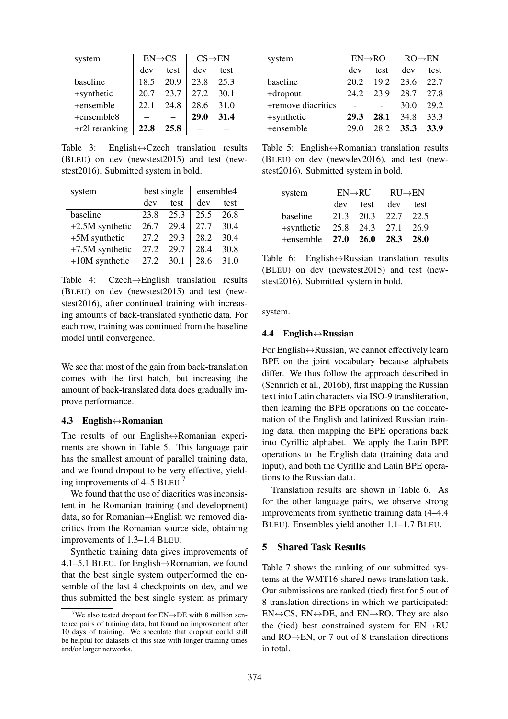| system           | $EN \rightarrow CS$ |      | $CS\rightarrow EN$ |      |
|------------------|---------------------|------|--------------------|------|
|                  | dev                 | test | dev                | test |
| baseline         | 18.5                | 20.9 | 23.8               | 25.3 |
| +synthetic       | 20.7                | 23.7 | 27.2               | 30.1 |
| +ensemble        | 22.1                | 24.8 | 28.6               | 31.0 |
| +ensemble8       |                     |      | <b>29.0</b>        | 31.4 |
| $+r2l$ reranking | 22.8                | 25.8 |                    |      |

Table 3: English $\leftrightarrow$ Czech translation results (BLEU) on dev (newstest2015) and test (newstest2016). Submitted system in bold.

| system            | best single |      | ensemble4 |      |
|-------------------|-------------|------|-----------|------|
|                   | dev         | test | dev       | test |
| baseline          | 23.8        | 25.3 | 25.5      | 26.8 |
| $+2.5M$ synthetic | 26.7        | 29.4 | 27.7      | 30.4 |
| +5M synthetic     | 27.2        | 29.3 | 28.2      | 30.4 |
| +7.5M synthetic   | 27.2        | 29.7 | 28.4      | 30.8 |
| $+10M$ synthetic  | 27.2 30.1   |      | 28.6      | 31.0 |

Table 4: Czech→English translation results (BLEU) on dev (newstest2015) and test (newstest2016), after continued training with increasing amounts of back-translated synthetic data. For each row, training was continued from the baseline model until convergence.

We see that most of the gain from back-translation comes with the first batch, but increasing the amount of back-translated data does gradually improve performance.

#### 4.3 English↔Romanian

The results of our English↔Romanian experiments are shown in Table 5. This language pair has the smallest amount of parallel training data, and we found dropout to be very effective, yielding improvements of 4–5 BLEU. 7

We found that the use of diacritics was inconsistent in the Romanian training (and development) data, so for Romanian→English we removed diacritics from the Romanian source side, obtaining improvements of 1.3–1.4 BLEU.

Synthetic training data gives improvements of 4.1–5.1 BLEU. for English→Romanian, we found that the best single system outperformed the ensemble of the last 4 checkpoints on dev, and we thus submitted the best single system as primary

| system             | $EN\rightarrow RO$ |      | $RO \rightarrow EN$ |      |
|--------------------|--------------------|------|---------------------|------|
|                    | dev                | test | dev                 | test |
| baseline           | 20.2               | 19.2 | 23.6                | 22.7 |
| +dropout           | 24.2               | 23.9 | 28.7                | 27.8 |
| +remove diacritics |                    |      | 30.0                | 29.2 |
| +synthetic         | 29.3               | 28.1 | 34.8                | 33.3 |
| +ensemble          |                    | 28.2 | 35.3                | 33.9 |

Table 5: English↔Romanian translation results (BLEU) on dev (newsdev2016), and test (newstest2016). Submitted system in bold.

| system     | $EN \rightarrow R U$ |                  | $RU\rightarrow EN$                                                    |      |
|------------|----------------------|------------------|-----------------------------------------------------------------------|------|
|            | dev                  | test             | dev                                                                   | test |
| baseline   | 21.3 20.3            |                  | $\begin{array}{ c c c c c } \hline 22.7 & 22.5 \\ \hline \end{array}$ |      |
| +synthetic | 25.8 24.3            |                  | 27.1                                                                  | 26.9 |
| +ensemble  |                      | $27.0\quad 26.0$ | 28.3                                                                  | 28.0 |

Table 6: English $\leftrightarrow$ Russian translation results (BLEU) on dev (newstest2015) and test (newstest2016). Submitted system in bold.

system.

#### 4.4 English↔Russian

For English↔Russian, we cannot effectively learn BPE on the joint vocabulary because alphabets differ. We thus follow the approach described in (Sennrich et al., 2016b), first mapping the Russian text into Latin characters via ISO-9 transliteration, then learning the BPE operations on the concatenation of the English and latinized Russian training data, then mapping the BPE operations back into Cyrillic alphabet. We apply the Latin BPE operations to the English data (training data and input), and both the Cyrillic and Latin BPE operations to the Russian data.

Translation results are shown in Table 6. As for the other language pairs, we observe strong improvements from synthetic training data (4–4.4 BLEU). Ensembles yield another 1.1–1.7 BLEU.

### 5 Shared Task Results

Table 7 shows the ranking of our submitted systems at the WMT16 shared news translation task. Our submissions are ranked (tied) first for 5 out of 8 translation directions in which we participated:  $EN \leftrightarrow CS$ ,  $EN \leftrightarrow DE$ , and  $EN \rightarrow RO$ . They are also the (tied) best constrained system for EN→RU and RO→EN, or 7 out of 8 translation directions in total.

<sup>&</sup>lt;sup>7</sup>We also tested dropout for  $EN\rightarrow DE$  with 8 million sentence pairs of training data, but found no improvement after 10 days of training. We speculate that dropout could still be helpful for datasets of this size with longer training times and/or larger networks.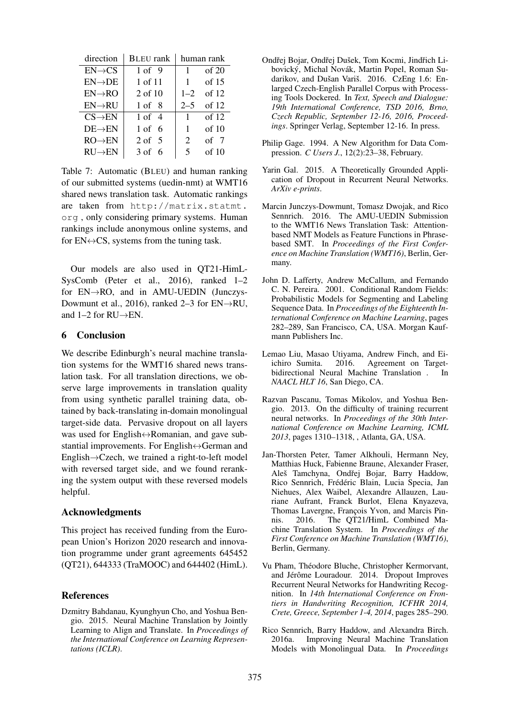| direction           | <b>BLEU</b> rank  | human rank   |         |
|---------------------|-------------------|--------------|---------|
| $EN \rightarrow CS$ | $1 \text{ of } 9$ | $\mathbf{1}$ | of $20$ |
| $EN\rightarrow DE$  | 1 of 11           | 1            | of $15$ |
| $EN\rightarrow RO$  | 2 of 10           | $1 - 2$      | of 12   |
| $EN\rightarrow RU$  | $1 \text{ of } 8$ | $2 - 5$      | of 12   |
| $CS\rightarrow EN$  | $1 \text{ of } 4$ | $\mathbf{1}$ | of $12$ |
| $DE \rightarrow EN$ | $1$ of 6          | $\mathbf{1}$ | of $10$ |
| $RO \rightarrow EN$ | $2 \text{ of } 5$ | 2            | of 7    |
| $RU \rightarrow EN$ | $3$ of 6          | 5            | of 10   |

Table 7: Automatic (BLEU) and human ranking of our submitted systems (uedin-nmt) at WMT16 shared news translation task. Automatic rankings are taken from http://matrix.statmt. org , only considering primary systems. Human rankings include anonymous online systems, and for  $EN \leftrightarrow CS$ , systems from the tuning task.

Our models are also used in QT21-HimL-SysComb (Peter et al., 2016), ranked 1–2 for EN→RO, and in AMU-UEDIN (Junczys-Dowmunt et al., 2016), ranked 2–3 for EN→RU, and  $1-2$  for RU $\rightarrow$ EN.

### 6 Conclusion

We describe Edinburgh's neural machine translation systems for the WMT16 shared news translation task. For all translation directions, we observe large improvements in translation quality from using synthetic parallel training data, obtained by back-translating in-domain monolingual target-side data. Pervasive dropout on all layers was used for English↔Romanian, and gave substantial improvements. For English↔German and English→Czech, we trained a right-to-left model with reversed target side, and we found reranking the system output with these reversed models helpful.

#### Acknowledgments

This project has received funding from the European Union's Horizon 2020 research and innovation programme under grant agreements 645452 (QT21), 644333 (TraMOOC) and 644402 (HimL).

## References

Dzmitry Bahdanau, Kyunghyun Cho, and Yoshua Bengio. 2015. Neural Machine Translation by Jointly Learning to Align and Translate. In *Proceedings of the International Conference on Learning Representations (ICLR)*.

- Ondřej Bojar, Ondřej Dušek, Tom Kocmi, Jindřich Libovický, Michal Novák, Martin Popel, Roman Sudarikov, and Dušan Variš. 2016. CzEng 1.6: Enlarged Czech-English Parallel Corpus with Processing Tools Dockered. In *Text, Speech and Dialogue: 19th International Conference, TSD 2016, Brno, Czech Republic, September 12-16, 2016, Proceedings*. Springer Verlag, September 12-16. In press.
- Philip Gage. 1994. A New Algorithm for Data Compression. *C Users J.*, 12(2):23–38, February.
- Yarin Gal. 2015. A Theoretically Grounded Application of Dropout in Recurrent Neural Networks. *ArXiv e-prints*.
- Marcin Junczys-Dowmunt, Tomasz Dwojak, and Rico Sennrich. 2016. The AMU-UEDIN Submission to the WMT16 News Translation Task: Attentionbased NMT Models as Feature Functions in Phrasebased SMT. In *Proceedings of the First Conference on Machine Translation (WMT16)*, Berlin, Germany.
- John D. Lafferty, Andrew McCallum, and Fernando C. N. Pereira. 2001. Conditional Random Fields: Probabilistic Models for Segmenting and Labeling Sequence Data. In *Proceedings of the Eighteenth International Conference on Machine Learning*, pages 282–289, San Francisco, CA, USA. Morgan Kaufmann Publishers Inc.
- Lemao Liu, Masao Utiyama, Andrew Finch, and Eiichiro Sumita. 2016. Agreement on Targetbidirectional Neural Machine Translation . In *NAACL HLT 16*, San Diego, CA.
- Razvan Pascanu, Tomas Mikolov, and Yoshua Bengio. 2013. On the difficulty of training recurrent neural networks. In *Proceedings of the 30th International Conference on Machine Learning, ICML 2013*, pages 1310–1318, , Atlanta, GA, USA.
- Jan-Thorsten Peter, Tamer Alkhouli, Hermann Ney, Matthias Huck, Fabienne Braune, Alexander Fraser, Aleš Tamchyna, Ondřej Bojar, Barry Haddow, Rico Sennrich, Frédéric Blain, Lucia Specia, Jan Niehues, Alex Waibel, Alexandre Allauzen, Lauriane Aufrant, Franck Burlot, Elena Knyazeva, Thomas Lavergne, François Yvon, and Marcis Pinnis. 2016. The QT21/HimL Combined Machine Translation System. In *Proceedings of the First Conference on Machine Translation (WMT16)*, Berlin, Germany.
- Vu Pham, Théodore Bluche, Christopher Kermorvant, and Jérôme Louradour. 2014. Dropout Improves Recurrent Neural Networks for Handwriting Recognition. In *14th International Conference on Frontiers in Handwriting Recognition, ICFHR 2014, Crete, Greece, September 1-4, 2014*, pages 285–290.
- Rico Sennrich, Barry Haddow, and Alexandra Birch. 2016a. Improving Neural Machine Translation Models with Monolingual Data. In *Proceedings*